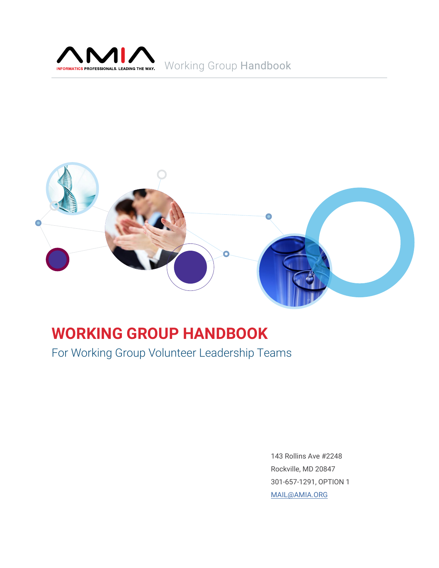

# Working Group Handbook



# **WORKING GROUP HANDBOOK**

For Working Group Volunteer Leadership Teams

143 Rollins Ave #2248 Rockville, MD 20847 301-657-1291, OPTION 1 [MAIL@AMIA.ORG](mailto:MAIL%40AMIA.ORG?subject=)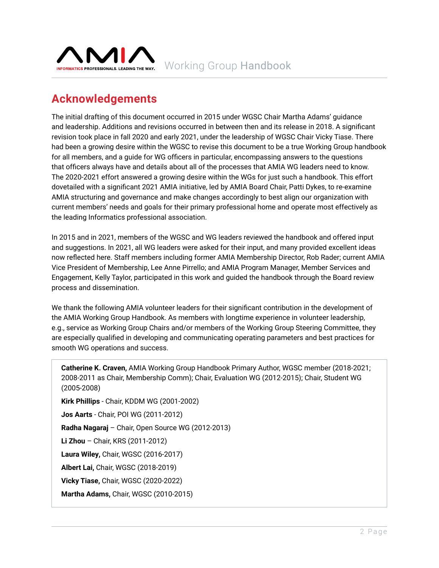<span id="page-1-0"></span>

# **Acknowledgements**

The initial drafting of this document occurred in 2015 under WGSC Chair Martha Adams' guidance and leadership. Additions and revisions occurred in between then and its release in 2018. A significant revision took place in fall 2020 and early 2021, under the leadership of WGSC Chair Vicky Tiase. There had been a growing desire within the WGSC to revise this document to be a true Working Group handbook for all members, and a guide for WG officers in particular, encompassing answers to the questions that officers always have and details about all of the processes that AMIA WG leaders need to know. The 2020-2021 effort answered a growing desire within the WGs for just such a handbook. This effort dovetailed with a significant 2021 AMIA initiative, led by AMIA Board Chair, Patti Dykes, to re-examine AMIA structuring and governance and make changes accordingly to best align our organization with current members' needs and goals for their primary professional home and operate most effectively as the leading Informatics professional association.

In 2015 and in 2021, members of the WGSC and WG leaders reviewed the handbook and offered input and suggestions. In 2021, all WG leaders were asked for their input, and many provided excellent ideas now reflected here. Staff members including former AMIA Membership Director, Rob Rader; current AMIA Vice President of Membership, Lee Anne Pirrello; and AMIA Program Manager, Member Services and Engagement, Kelly Taylor, participated in this work and guided the handbook through the Board review process and dissemination.

We thank the following AMIA volunteer leaders for their significant contribution in the development of the AMIA Working Group Handbook. As members with longtime experience in volunteer leadership, e.g., service as Working Group Chairs and/or members of the Working Group Steering Committee, they are especially qualified in developing and communicating operating parameters and best practices for smooth WG operations and success.

**Catherine K. Craven,** AMIA Working Group Handbook Primary Author, WGSC member (2018-2021; 2008-2011 as Chair, Membership Comm); Chair, Evaluation WG (2012-2015); Chair, Student WG (2005-2008)

**Kirk Phillips** - Chair, KDDM WG (2001-2002) **Jos Aarts** - Chair, POI WG (2011-2012) **Radha Nagaraj** – Chair, Open Source WG (2012-2013) **Li Zhou** – Chair, KRS (2011-2012) **Laura Wiley,** Chair, WGSC (2016-2017) **Albert Lai,** Chair, WGSC (2018-2019) **Vicky Tiase,** Chair, WGSC (2020-2022) **Martha Adams,** Chair, WGSC (2010-2015)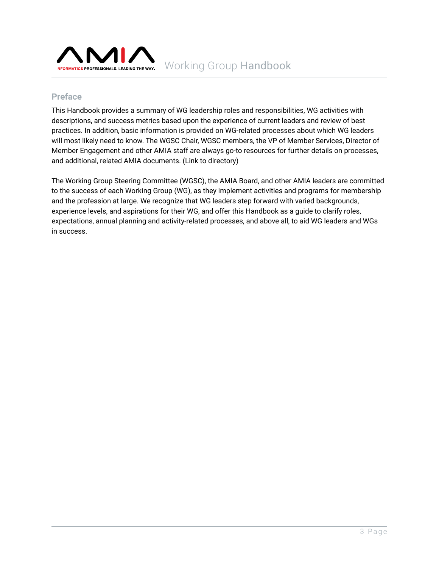

### **Preface**

This Handbook provides a summary of WG leadership roles and responsibilities, WG activities with descriptions, and success metrics based upon the experience of current leaders and review of best practices. In addition, basic information is provided on WG-related processes about which WG leaders will most likely need to know. The WGSC Chair, WGSC members, the VP of Member Services, Director of Member Engagement and other AMIA staff are always go-to resources for further details on processes, and additional, related AMIA documents. (Link to directory)

The Working Group Steering Committee (WGSC), the AMIA Board, and other AMIA leaders are committed to the success of each Working Group (WG), as they implement activities and programs for membership and the profession at large. We recognize that WG leaders step forward with varied backgrounds, experience levels, and aspirations for their WG, and offer this Handbook as a guide to clarify roles, expectations, annual planning and activity-related processes, and above all, to aid WG leaders and WGs in success.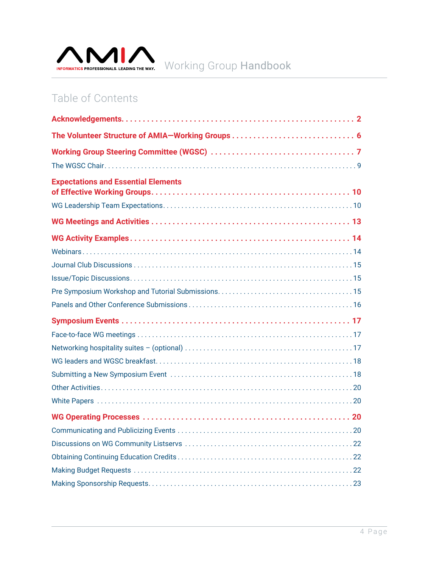

# Table of Contents

| <b>Expectations and Essential Elements</b> |  |
|--------------------------------------------|--|
|                                            |  |
|                                            |  |
|                                            |  |
|                                            |  |
|                                            |  |
|                                            |  |
|                                            |  |
|                                            |  |
|                                            |  |
|                                            |  |
|                                            |  |
|                                            |  |
|                                            |  |
|                                            |  |
|                                            |  |
|                                            |  |
|                                            |  |
|                                            |  |
|                                            |  |
|                                            |  |
|                                            |  |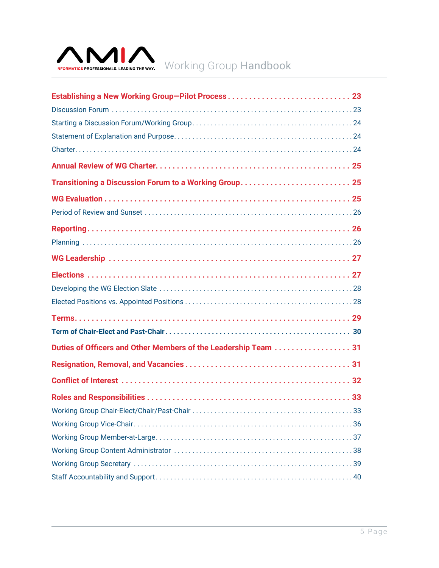

| Transitioning a Discussion Forum to a Working Group 25          |
|-----------------------------------------------------------------|
|                                                                 |
|                                                                 |
|                                                                 |
|                                                                 |
|                                                                 |
|                                                                 |
|                                                                 |
|                                                                 |
|                                                                 |
|                                                                 |
| Duties of Officers and Other Members of the Leadership Team  31 |
|                                                                 |
|                                                                 |
|                                                                 |
|                                                                 |
|                                                                 |
|                                                                 |
|                                                                 |
|                                                                 |
|                                                                 |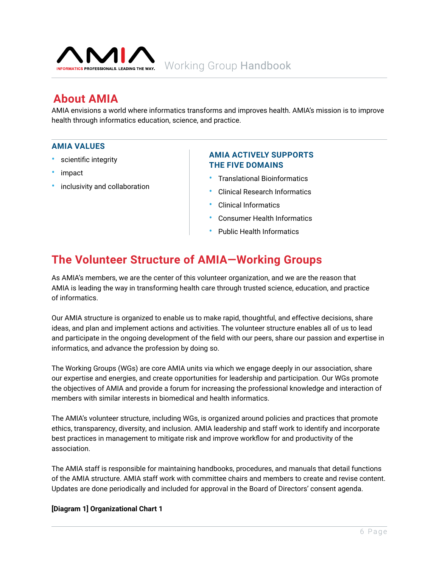<span id="page-5-0"></span>

# **About AMIA**

AMIA envisions a world where informatics transforms and improves health. AMIA's mission is to improve health through informatics education, science, and practice.

#### **AMIA VALUES**

- scientific integrity
- impact
- inclusivity and collaboration

#### **AMIA ACTIVELY SUPPORTS THE FIVE DOMAINS**

- Translational Bioinformatics
- Clinical Research Informatics
- Clinical Informatics
- Consumer Health Informatics
- Public Health Informatics

# **The Volunteer Structure of AMIA—Working Groups**

As AMIA's members, we are the center of this volunteer organization, and we are the reason that AMIA is leading the way in transforming health care through trusted science, education, and practice of informatics.

Our AMIA structure is organized to enable us to make rapid, thoughtful, and effective decisions, share ideas, and plan and implement actions and activities. The volunteer structure enables all of us to lead and participate in the ongoing development of the field with our peers, share our passion and expertise in informatics, and advance the profession by doing so.

The Working Groups (WGs) are core AMIA units via which we engage deeply in our association, share our expertise and energies, and create opportunities for leadership and participation. Our WGs promote the objectives of AMIA and provide a forum for increasing the professional knowledge and interaction of members with similar interests in biomedical and health informatics.

The AMIA's volunteer structure, including WGs, is organized around policies and practices that promote ethics, transparency, diversity, and inclusion. AMIA leadership and staff work to identify and incorporate best practices in management to mitigate risk and improve workflow for and productivity of the association.

The AMIA staff is responsible for maintaining handbooks, procedures, and manuals that detail functions of the AMIA structure. AMIA staff work with committee chairs and members to create and revise content. Updates are done periodically and included for approval in the Board of Directors' consent agenda.

#### **[Diagram 1] Organizational Chart 1**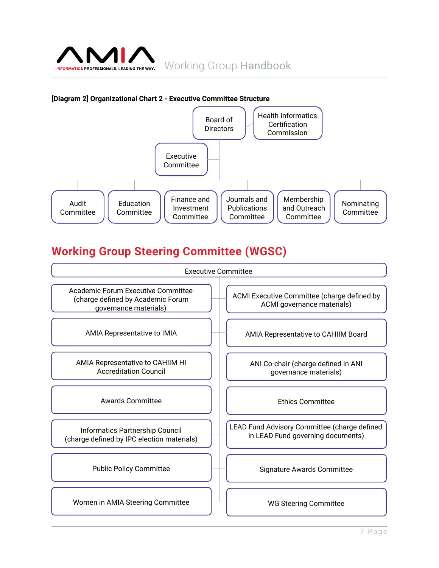<span id="page-6-0"></span>

#### **[Diagram 2] Organizational Chart 2 - Executive Committee Structure**



# **Working Group Steering Committee (WGSC)**

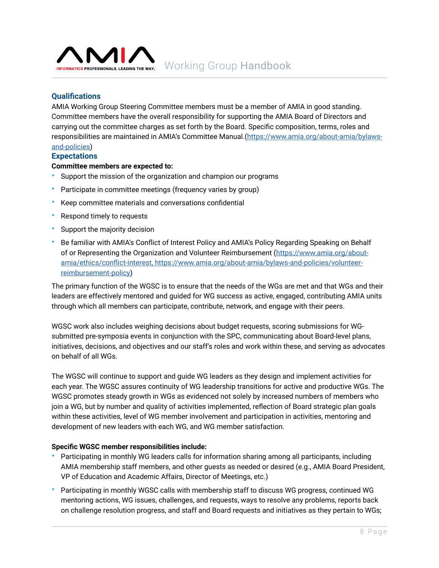

### **Qualifications**

AMIA Working Group Steering Committee members must be a member of AMIA in good standing. Committee members have the overall responsibility for supporting the AMIA Board of Directors and carrying out the committee charges as set forth by the Board. Specific composition, terms, roles and responsibilities are maintained in AMIA's Committee Manual.([https://www.amia.org/about-amia/bylaws-](https://amia.org/about-amia/leadership-and-governance/bylaws-and-policies)

#### [and-policies\)](https://amia.org/about-amia/leadership-and-governance/bylaws-and-policies) **Expectations**

#### **Committee members are expected to:**

- Support the mission of the organization and champion our programs
- Participate in committee meetings (frequency varies by group)
- Keep committee materials and conversations confidential
- Respond timely to requests
- Support the majority decision
- Be familiar with AMIA's Conflict of Interest Policy and AMIA's Policy Regarding Speaking on Behalf of or Representing the Organization and Volunteer Reimbursement [\(https://www.amia.org/about](https://amia.org/about-amia/leadership-and-governance/bylaws-and-policies/volunteer-reimbursement-policy)[amia/ethics/conflict-interest, https://www.amia.org/about-amia/bylaws-and-policies/volunteer](https://amia.org/about-amia/leadership-and-governance/bylaws-and-policies/volunteer-reimbursement-policy)[reimbursement-policy\)](https://amia.org/about-amia/leadership-and-governance/bylaws-and-policies/volunteer-reimbursement-policy)

The primary function of the WGSC is to ensure that the needs of the WGs are met and that WGs and their leaders are effectively mentored and guided for WG success as active, engaged, contributing AMIA units through which all members can participate, contribute, network, and engage with their peers.

WGSC work also includes weighing decisions about budget requests, scoring submissions for WGsubmitted pre-symposia events in conjunction with the SPC, communicating about Board-level plans, initiatives, decisions, and objectives and our staff's roles and work within these, and serving as advocates on behalf of all WGs.

The WGSC will continue to support and guide WG leaders as they design and implement activities for each year. The WGSC assures continuity of WG leadership transitions for active and productive WGs. The WGSC promotes steady growth in WGs as evidenced not solely by increased numbers of members who join a WG, but by number and quality of activities implemented, reflection of Board strategic plan goals within these activities, level of WG member involvement and participation in activities, mentoring and development of new leaders with each WG, and WG member satisfaction.

#### **Specific WGSC member responsibilities include:**

- Participating in monthly WG leaders calls for information sharing among all participants, including AMIA membership staff members, and other guests as needed or desired (e.g., AMIA Board President, VP of Education and Academic Affairs, Director of Meetings, etc.)
- Participating in monthly WGSC calls with membership staff to discuss WG progress, continued WG mentoring actions, WG issues, challenges, and requests, ways to resolve any problems, reports back on challenge resolution progress, and staff and Board requests and initiatives as they pertain to WGs;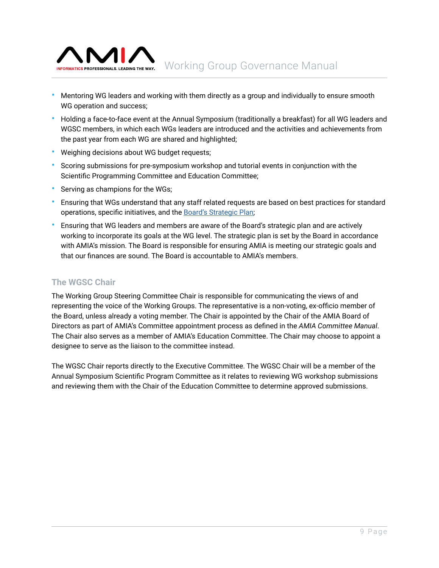<span id="page-8-0"></span>

- Mentoring WG leaders and working with them directly as a group and individually to ensure smooth WG operation and success;
- Holding a face-to-face event at the Annual Symposium (traditionally a breakfast) for all WG leaders and WGSC members, in which each WGs leaders are introduced and the activities and achievements from the past year from each WG are shared and highlighted;
- Weighing decisions about WG budget requests;
- Scoring submissions for pre-symposium workshop and tutorial events in conjunction with the Scientific Programming Committee and Education Committee;
- Serving as champions for the WGs;
- Ensuring that WGs understand that any staff related requests are based on best practices for standard operations, specific initiatives, and the [Board's Strategic Plan](https://amia.org/about-amia/leadership-and-governance/amias-2020-2025-strategic-plan);
- Ensuring that WG leaders and members are aware of the Board's strategic plan and are actively working to incorporate its goals at the WG level. The strategic plan is set by the Board in accordance with AMIA's mission. The Board is responsible for ensuring AMIA is meeting our strategic goals and that our finances are sound. The Board is accountable to AMIA's members.

### **The WGSC Chair**

The Working Group Steering Committee Chair is responsible for communicating the views of and representing the voice of the Working Groups. The representative is a non-voting, ex-officio member of the Board, unless already a voting member. The Chair is appointed by the Chair of the AMIA Board of Directors as part of AMIA's Committee appointment process as defined in the *AMIA Committee Manual*. The Chair also serves as a member of AMIA's Education Committee. The Chair may choose to appoint a designee to serve as the liaison to the committee instead.

The WGSC Chair reports directly to the Executive Committee. The WGSC Chair will be a member of the Annual Symposium Scientific Program Committee as it relates to reviewing WG workshop submissions and reviewing them with the Chair of the Education Committee to determine approved submissions.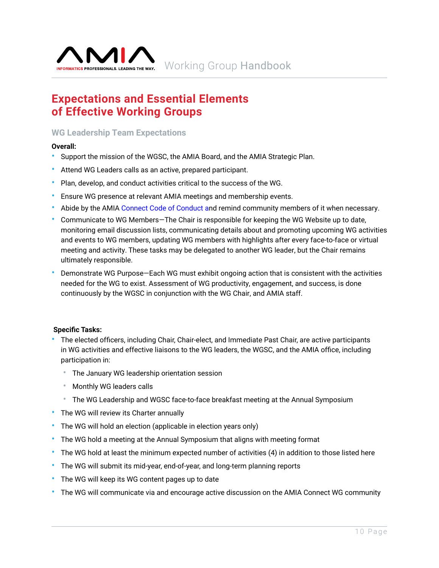<span id="page-9-0"></span>

# **Expectations and Essential Elements of Effective Working Groups**

### **WG Leadership Team Expectations**

#### **Overall:**

- Support the mission of the WGSC, the AMIA Board, and the AMIA Strategic Plan.
- Attend WG Leaders calls as an active, prepared participant.
- Plan, develop, and conduct activities critical to the success of the WG.
- Ensure WG presence at relevant AMIA meetings and membership events.
- Abide by the AMIA [Connect Code of Conduct](https://connect.amia.org/codeofconduct) and remind community members of it when necessary.
- Communicate to WG Members—The Chair is responsible for keeping the WG Website up to date, monitoring email discussion lists, communicating details about and promoting upcoming WG activities and events to WG members, updating WG members with highlights after every face-to-face or virtual meeting and activity. These tasks may be delegated to another WG leader, but the Chair remains ultimately responsible.
- Demonstrate WG Purpose—Each WG must exhibit ongoing action that is consistent with the activities needed for the WG to exist. Assessment of WG productivity, engagement, and success, is done continuously by the WGSC in conjunction with the WG Chair, and AMIA staff.

#### **Specific Tasks:**

- The elected officers, including Chair, Chair-elect, and Immediate Past Chair, are active participants in WG activities and effective liaisons to the WG leaders, the WGSC, and the AMIA office, including participation in:
	- The January WG leadership orientation session
	- Monthly WG leaders calls
	- The WG Leadership and WGSC face-to-face breakfast meeting at the Annual Symposium
- The WG will review its Charter annually
- The WG will hold an election (applicable in election years only)
- The WG hold a meeting at the Annual Symposium that aligns with meeting format
- The WG hold at least the minimum expected number of activities (4) in addition to those listed here
- The WG will submit its mid-year, end-of-year, and long-term planning reports
- The WG will keep its WG content pages up to date
- The WG will communicate via and encourage active discussion on the AMIA Connect WG community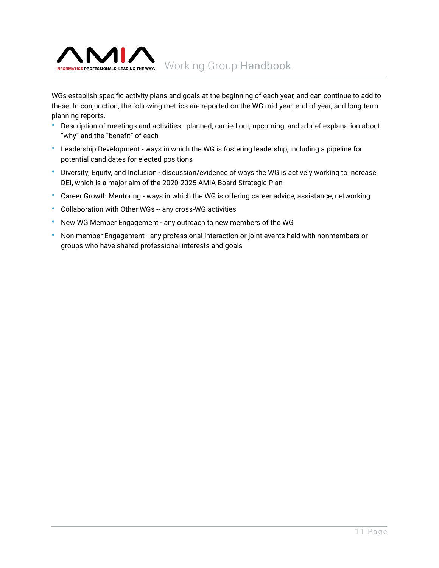

WGs establish specific activity plans and goals at the beginning of each year, and can continue to add to these. In conjunction, the following metrics are reported on the WG mid-year, end-of-year, and long-term planning reports.

- Description of meetings and activities planned, carried out, upcoming, and a brief explanation about "why" and the "benefit" of each
- Leadership Development ways in which the WG is fostering leadership, including a pipeline for potential candidates for elected positions
- Diversity, Equity, and Inclusion discussion/evidence of ways the WG is actively working to increase DEI, which is a major aim of the 2020-2025 AMIA Board Strategic Plan
- Career Growth Mentoring ways in which the WG is offering career advice, assistance, networking
- Collaboration with Other WGs -- any cross-WG activities
- New WG Member Engagement any outreach to new members of the WG
- Non-member Engagement any professional interaction or joint events held with nonmembers or groups who have shared professional interests and goals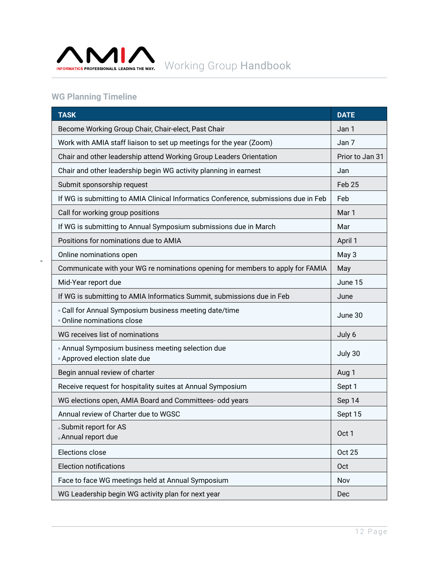

# **WG Planning Timeline**

 $\bar{\phantom{a}}$ 

| <b>TASK</b>                                                                           | <b>DATE</b>     |
|---------------------------------------------------------------------------------------|-----------------|
| Become Working Group Chair, Chair-elect, Past Chair                                   | Jan 1           |
| Work with AMIA staff liaison to set up meetings for the year (Zoom)                   | Jan 7           |
| Chair and other leadership attend Working Group Leaders Orientation                   | Prior to Jan 31 |
| Chair and other leadership begin WG activity planning in earnest                      | Jan             |
| Submit sponsorship request                                                            | Feb 25          |
| If WG is submitting to AMIA Clinical Informatics Conference, submissions due in Feb   | Feb             |
| Call for working group positions                                                      | Mar 1           |
| If WG is submitting to Annual Symposium submissions due in March                      | Mar             |
| Positions for nominations due to AMIA                                                 | April 1         |
| Online nominations open                                                               | May 3           |
| Communicate with your WG re nominations opening for members to apply for FAMIA        | May             |
| Mid-Year report due                                                                   | June 15         |
| If WG is submitting to AMIA Informatics Summit, submissions due in Feb                | June            |
| " Call for Annual Symposium business meeting date/time<br>Online nominations close    | June 30         |
| WG receives list of nominations                                                       | July 6          |
| Annual Symposium business meeting selection due<br><b>Approved election slate due</b> | July 30         |
| Begin annual review of charter                                                        | Aug 1           |
| Receive request for hospitality suites at Annual Symposium                            | Sept 1          |
| WG elections open, AMIA Board and Committees- odd years                               | Sep 14          |
| Annual review of Charter due to WGSC                                                  | Sept 15         |
| $\blacksquare$ Submit renort for AS<br>Annual report due                              | Oct 1           |
| Elections close                                                                       | <b>Oct 25</b>   |
| <b>Election notifications</b>                                                         | Oct             |
| Face to face WG meetings held at Annual Symposium                                     | Nov             |
| WG Leadership begin WG activity plan for next year                                    | Dec             |

12 Page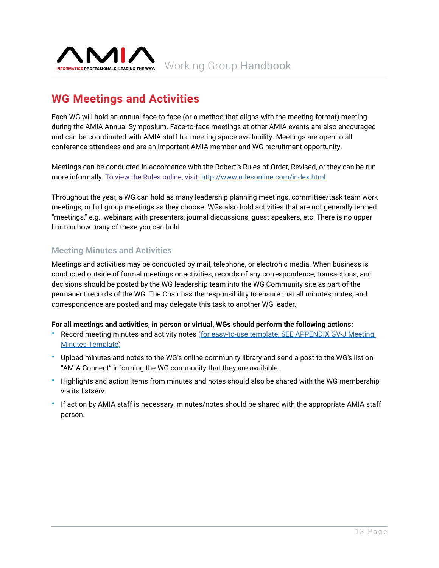<span id="page-12-0"></span>

# **WG Meetings and Activities**

Each WG will hold an annual face-to-face (or a method that aligns with the meeting format) meeting during the AMIA Annual Symposium. Face-to-face meetings at other AMIA events are also encouraged and can be coordinated with AMIA staff for meeting space availability. Meetings are open to all conference attendees and are an important AMIA member and WG recruitment opportunity.

Meetings can be conducted in accordance with the Robert's Rules of Order, Revised, or they can be run more informally. To view the Rules online, visit: <http://www.rulesonline.com/index.html>

Throughout the year, a WG can hold as many leadership planning meetings, committee/task team work meetings, or full group meetings as they choose. WGs also hold activities that are not generally termed "meetings," e.g., webinars with presenters, journal discussions, guest speakers, etc. There is no upper limit on how many of these you can hold.

### **Meeting Minutes and Activities**

Meetings and activities may be conducted by mail, telephone, or electronic media. When business is conducted outside of formal meetings or activities, records of any correspondence, transactions, and decisions should be posted by the WG leadership team into the WG Community site as part of the permanent records of the WG. The Chair has the responsibility to ensure that all minutes, notes, and correspondence are posted and may delegate this task to another WG leader.

#### **For all meetings and activities, in person or virtual, WGs should perform the following actions:**

- Record meeting minutes and activity notes ([for easy-to-use template, SEE APPENDIX GV-J Meeting](https://brand.amia.org/m/6e51bcaf1ba978ec/original/2021AMIA-Appendix-GV-J.pdf) [Minutes Template](https://brand.amia.org/m/6e51bcaf1ba978ec/original/2021AMIA-Appendix-GV-J.pdf))
- Upload minutes and notes to the WG's online community library and send a post to the WG's list on "AMIA Connect" informing the WG community that they are available.
- Highlights and action items from minutes and notes should also be shared with the WG membership via its listserv.
- If action by AMIA staff is necessary, minutes/notes should be shared with the appropriate AMIA staff person.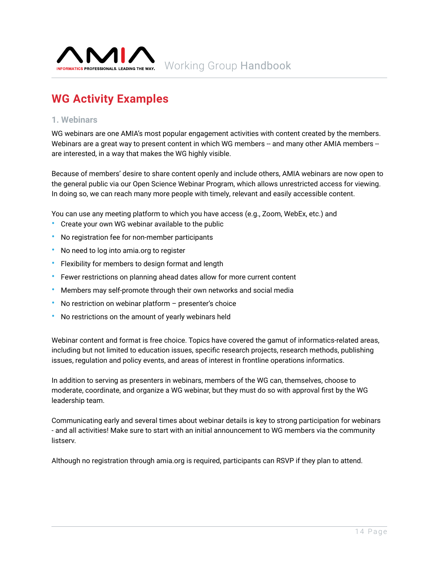<span id="page-13-0"></span>

# **WG Activity Examples**

#### **1. Webinars**

WG webinars are one AMIA's most popular engagement activities with content created by the members. Webinars are a great way to present content in which WG members -- and many other AMIA members -are interested, in a way that makes the WG highly visible.

Because of members' desire to share content openly and include others, AMIA webinars are now open to the general public via our Open Science Webinar Program, which allows unrestricted access for viewing. In doing so, we can reach many more people with timely, relevant and easily accessible content.

You can use any meeting platform to which you have access (e.g., Zoom, WebEx, etc.) and

- Create your own WG webinar available to the public
- No registration fee for non-member participants
- No need to log into amia.org to register
- Flexibility for members to design format and length
- Fewer restrictions on planning ahead dates allow for more current content
- Members may self-promote through their own networks and social media
- No restriction on webinar platform  $-$  presenter's choice
- No restrictions on the amount of yearly webinars held

Webinar content and format is free choice. Topics have covered the gamut of informatics-related areas, including but not limited to education issues, specific research projects, research methods, publishing issues, regulation and policy events, and areas of interest in frontline operations informatics.

In addition to serving as presenters in webinars, members of the WG can, themselves, choose to moderate, coordinate, and organize a WG webinar, but they must do so with approval first by the WG leadership team.

Communicating early and several times about webinar details is key to strong participation for webinars - and all activities! Make sure to start with an initial announcement to WG members via the community listserv.

Although no registration through amia.org is required, participants can RSVP if they plan to attend.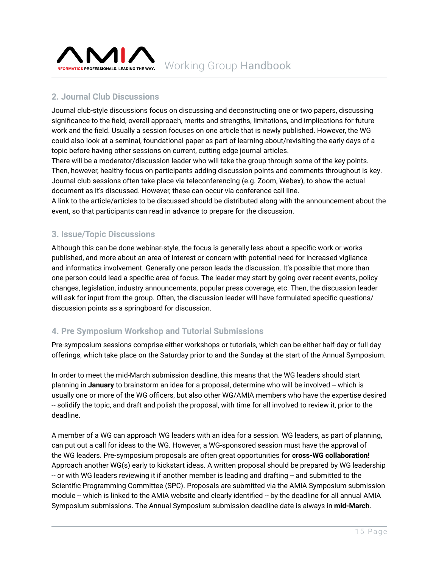<span id="page-14-0"></span>

## **2. Journal Club Discussions**

Journal club-style discussions focus on discussing and deconstructing one or two papers, discussing significance to the field, overall approach, merits and strengths, limitations, and implications for future work and the field. Usually a session focuses on one article that is newly published. However, the WG could also look at a seminal, foundational paper as part of learning about/revisiting the early days of a topic before having other sessions on current, cutting edge journal articles.

There will be a moderator/discussion leader who will take the group through some of the key points. Then, however, healthy focus on participants adding discussion points and comments throughout is key. Journal club sessions often take place via teleconferencing (e.g. Zoom, Webex), to show the actual document as it's discussed. However, these can occur via conference call line.

A link to the article/articles to be discussed should be distributed along with the announcement about the event, so that participants can read in advance to prepare for the discussion.

### **3. Issue/Topic Discussions**

Although this can be done webinar-style, the focus is generally less about a specific work or works published, and more about an area of interest or concern with potential need for increased vigilance and informatics involvement. Generally one person leads the discussion. It's possible that more than one person could lead a specific area of focus. The leader may start by going over recent events, policy changes, legislation, industry announcements, popular press coverage, etc. Then, the discussion leader will ask for input from the group. Often, the discussion leader will have formulated specific questions/ discussion points as a springboard for discussion.

### **4. Pre Symposium Workshop and Tutorial Submissions**

Pre-symposium sessions comprise either workshops or tutorials, which can be either half-day or full day offerings, which take place on the Saturday prior to and the Sunday at the start of the Annual Symposium.

In order to meet the mid-March submission deadline, this means that the WG leaders should start planning in **January** to brainstorm an idea for a proposal, determine who will be involved -- which is usually one or more of the WG officers, but also other WG/AMIA members who have the expertise desired -- solidify the topic, and draft and polish the proposal, with time for all involved to review it, prior to the deadline.

A member of a WG can approach WG leaders with an idea for a session. WG leaders, as part of planning, can put out a call for ideas to the WG. However, a WG-sponsored session must have the approval of the WG leaders. Pre-symposium proposals are often great opportunities for **cross-WG collaboration!** Approach another WG(s) early to kickstart ideas. A written proposal should be prepared by WG leadership -- or with WG leaders reviewing it if another member is leading and drafting -- and submitted to the Scientific Programming Committee (SPC). Proposals are submitted via the AMIA Symposium submission module -- which is linked to the AMIA website and clearly identified -- by the deadline for all annual AMIA Symposium submissions. The Annual Symposium submission deadline date is always in **mid-March**.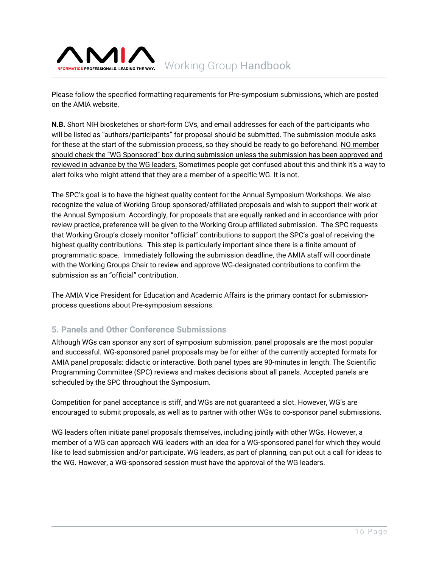<span id="page-15-0"></span>

Please follow the specified formatting requirements for Pre-symposium submissions, which are posted on the AMIA website.

**N.B.** Short NIH biosketches or short-form CVs, and email addresses for each of the participants who will be listed as "authors/participants" for proposal should be submitted. The submission module asks for these at the start of the submission process, so they should be ready to go beforehand. NO member should check the "WG Sponsored" box during submission unless the submission has been approved and reviewed in advance by the WG leaders. Sometimes people get confused about this and think it's a way to alert folks who might attend that they are a member of a specific WG. It is not.

The SPC's goal is to have the highest quality content for the Annual Symposium Workshops. We also recognize the value of Working Group sponsored/affiliated proposals and wish to support their work at the Annual Symposium. Accordingly, for proposals that are equally ranked and in accordance with prior review practice, preference will be given to the Working Group affiliated submission. The SPC requests that Working Group's closely monitor "official" contributions to support the SPC's goal of receiving the highest quality contributions. This step is particularly important since there is a finite amount of programmatic space. Immediately following the submission deadline, the AMIA staff will coordinate with the Working Groups Chair to review and approve WG-designated contributions to confirm the submission as an "official" contribution.

The AMIA Vice President for Education and Academic Affairs is the primary contact for submissionprocess questions about Pre-symposium sessions.

### **5. Panels and Other Conference Submissions**

Although WGs can sponsor any sort of symposium submission, panel proposals are the most popular and successful. WG-sponsored panel proposals may be for either of the currently accepted formats for AMIA panel proposals: didactic or interactive. Both panel types are 90-minutes in length. The Scientific Programming Committee (SPC) reviews and makes decisions about all panels. Accepted panels are scheduled by the SPC throughout the Symposium.

Competition for panel acceptance is stiff, and WGs are not guaranteed a slot. However, WG's are encouraged to submit proposals, as well as to partner with other WGs to co-sponsor panel submissions.

WG leaders often initiate panel proposals themselves, including jointly with other WGs. However, a member of a WG can approach WG leaders with an idea for a WG-sponsored panel for which they would like to lead submission and/or participate. WG leaders, as part of planning, can put out a call for ideas to the WG. However, a WG-sponsored session must have the approval of the WG leaders.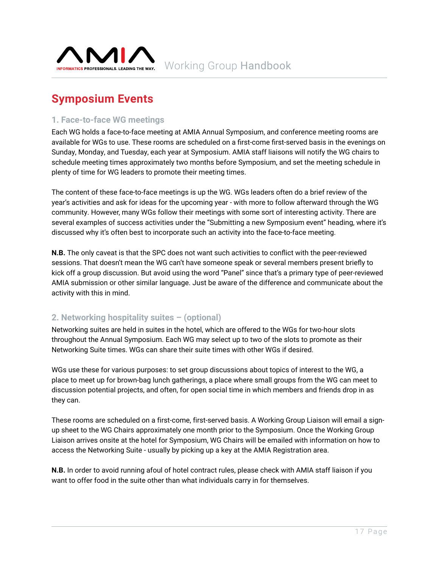<span id="page-16-0"></span>

# **Symposium Events**

### **1. Face-to-face WG meetings**

Each WG holds a face-to-face meeting at AMIA Annual Symposium, and conference meeting rooms are available for WGs to use. These rooms are scheduled on a first-come first-served basis in the evenings on Sunday, Monday, and Tuesday, each year at Symposium. AMIA staff liaisons will notify the WG chairs to schedule meeting times approximately two months before Symposium, and set the meeting schedule in plenty of time for WG leaders to promote their meeting times.

The content of these face-to-face meetings is up the WG. WGs leaders often do a brief review of the year's activities and ask for ideas for the upcoming year - with more to follow afterward through the WG community. However, many WGs follow their meetings with some sort of interesting activity. There are several examples of success activities under the "Submitting a new Symposium event" heading, where it's discussed why it's often best to incorporate such an activity into the face-to-face meeting.

**N.B.** The only caveat is that the SPC does not want such activities to conflict with the peer-reviewed sessions. That doesn't mean the WG can't have someone speak or several members present briefly to kick off a group discussion. But avoid using the word "Panel" since that's a primary type of peer-reviewed AMIA submission or other similar language. Just be aware of the difference and communicate about the activity with this in mind.

### **2. Networking hospitality suites – (optional)**

Networking suites are held in suites in the hotel, which are offered to the WGs for two-hour slots throughout the Annual Symposium. Each WG may select up to two of the slots to promote as their Networking Suite times. WGs can share their suite times with other WGs if desired.

WGs use these for various purposes: to set group discussions about topics of interest to the WG, a place to meet up for brown-bag lunch gatherings, a place where small groups from the WG can meet to discussion potential projects, and often, for open social time in which members and friends drop in as they can.

These rooms are scheduled on a first-come, first-served basis. A Working Group Liaison will email a signup sheet to the WG Chairs approximately one month prior to the Symposium. Once the Working Group Liaison arrives onsite at the hotel for Symposium, WG Chairs will be emailed with information on how to access the Networking Suite - usually by picking up a key at the AMIA Registration area.

**N.B.** In order to avoid running afoul of hotel contract rules, please check with AMIA staff liaison if you want to offer food in the suite other than what individuals carry in for themselves.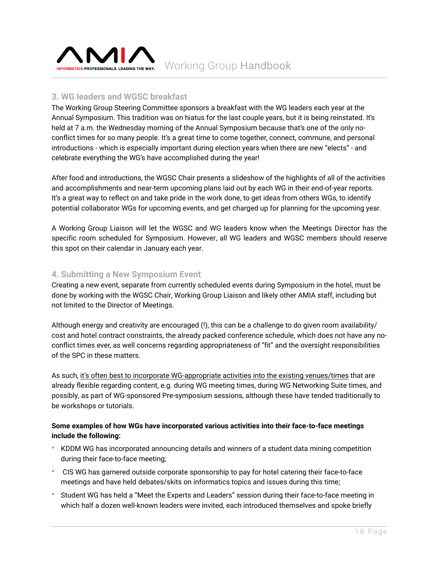<span id="page-17-0"></span>

## **3. WG leaders and WGSC breakfast**

The Working Group Steering Committee sponsors a breakfast with the WG leaders each year at the Annual Symposium. This tradition was on hiatus for the last couple years, but it is being reinstated. It's held at 7 a.m. the Wednesday morning of the Annual Symposium because that's one of the only noconflict times for so many people. It's a great time to come together, connect, commune, and personal introductions - which is especially important during election years when there are new "elects" - and celebrate everything the WG's have accomplished during the year!

After food and introductions, the WGSC Chair presents a slideshow of the highlights of all of the activities and accomplishments and near-term upcoming plans laid out by each WG in their end-of-year reports. It's a great way to reflect on and take pride in the work done, to get ideas from others WGs, to identify potential collaborator WGs for upcoming events, and get charged up for planning for the upcoming year.

A Working Group Liaison will let the WGSC and WG leaders know when the Meetings Director has the specific room scheduled for Symposium. However, all WG leaders and WGSC members should reserve this spot on their calendar in January each year.

### **4. Submitting a New Symposium Event**

Creating a new event, separate from currently scheduled events during Symposium in the hotel, must be done by working with the WGSC Chair, Working Group Liaison and likely other AMIA staff, including but not limited to the Director of Meetings.

Although energy and creativity are encouraged (!), this can be a challenge to do given room availability/ cost and hotel contract constraints, the already packed conference schedule, which does not have any noconflict times ever, as well concerns regarding appropriateness of "fit" and the oversight responsibilities of the SPC in these matters.

As such, it's often best to incorporate WG-appropriate activities into the existing venues/times that are already flexible regarding content, e.g. during WG meeting times, during WG Networking Suite times, and possibly, as part of WG-sponsored Pre-symposium sessions, although these have tended traditionally to be workshops or tutorials.

#### **Some examples of how WGs have incorporated various activities into their face-to-face meetings include the following:**

- KDDM WG has incorporated announcing details and winners of a student data mining competition during their face-to-face meeting;
- CIS WG has garnered outside corporate sponsorship to pay for hotel catering their face-to-face meetings and have held debates/skits on informatics topics and issues during this time;
- Student WG has held a "Meet the Experts and Leaders" session during their face-to-face meeting in which half a dozen well-known leaders were invited, each introduced themselves and spoke briefly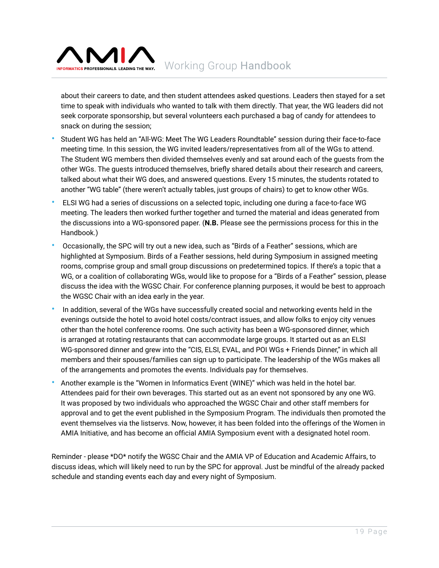

about their careers to date, and then student attendees asked questions. Leaders then stayed for a set time to speak with individuals who wanted to talk with them directly. That year, the WG leaders did not seek corporate sponsorship, but several volunteers each purchased a bag of candy for attendees to snack on during the session;

- Student WG has held an "All-WG: Meet The WG Leaders Roundtable" session during their face-to-face meeting time. In this session, the WG invited leaders/representatives from all of the WGs to attend. The Student WG members then divided themselves evenly and sat around each of the guests from the other WGs. The guests introduced themselves, briefly shared details about their research and careers, talked about what their WG does, and answered questions. Every 15 minutes, the students rotated to another "WG table" (there weren't actually tables, just groups of chairs) to get to know other WGs.
- ELSI WG had a series of discussions on a selected topic, including one during a face-to-face WG meeting. The leaders then worked further together and turned the material and ideas generated from the discussions into a WG-sponsored paper. (**N.B.** Please see the permissions process for this in the Handbook.)
- Occasionally, the SPC will try out a new idea, such as "Birds of a Feather" sessions, which are highlighted at Symposium. Birds of a Feather sessions, held during Symposium in assigned meeting rooms, comprise group and small group discussions on predetermined topics. If there's a topic that a WG, or a coalition of collaborating WGs, would like to propose for a "Birds of a Feather" session, please discuss the idea with the WGSC Chair. For conference planning purposes, it would be best to approach the WGSC Chair with an idea early in the year.
- In addition, several of the WGs have successfully created social and networking events held in the evenings outside the hotel to avoid hotel costs/contract issues, and allow folks to enjoy city venues other than the hotel conference rooms. One such activity has been a WG-sponsored dinner, which is arranged at rotating restaurants that can accommodate large groups. It started out as an ELSI WG-sponsored dinner and grew into the "CIS, ELSI, EVAL, and POI WGs + Friends Dinner," in which all members and their spouses/families can sign up to participate. The leadership of the WGs makes all of the arrangements and promotes the events. Individuals pay for themselves.
- Another example is the "Women in Informatics Event (WINE)" which was held in the hotel bar. Attendees paid for their own beverages. This started out as an event not sponsored by any one WG. It was proposed by two individuals who approached the WGSC Chair and other staff members for approval and to get the event published in the Symposium Program. The individuals then promoted the event themselves via the listservs. Now, however, it has been folded into the offerings of the Women in AMIA Initiative, and has become an official AMIA Symposium event with a designated hotel room.

Reminder - please \*DO\* notify the WGSC Chair and the AMIA VP of Education and Academic Affairs, to discuss ideas, which will likely need to run by the SPC for approval. Just be mindful of the already packed schedule and standing events each day and every night of Symposium.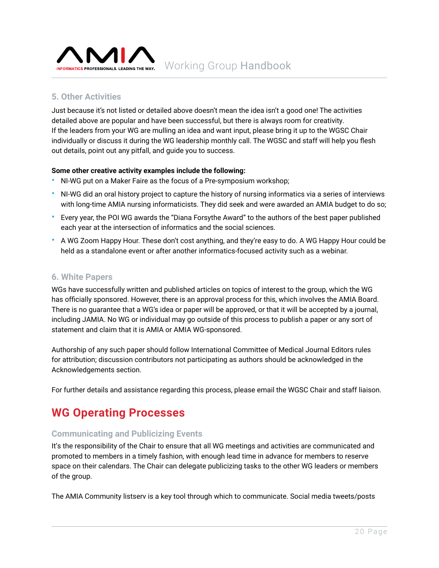<span id="page-19-0"></span>

### **5. Other Activities**

Just because it's not listed or detailed above doesn't mean the idea isn't a good one! The activities detailed above are popular and have been successful, but there is always room for creativity. If the leaders from your WG are mulling an idea and want input, please bring it up to the WGSC Chair individually or discuss it during the WG leadership monthly call. The WGSC and staff will help you flesh out details, point out any pitfall, and guide you to success.

#### **Some other creative activity examples include the following:**

- NI-WG put on a Maker Faire as the focus of a Pre-symposium workshop;
- NI-WG did an oral history project to capture the history of nursing informatics via a series of interviews with long-time AMIA nursing informaticists. They did seek and were awarded an AMIA budget to do so;
- Every year, the POI WG awards the "Diana Forsythe Award" to the authors of the best paper published each year at the intersection of informatics and the social sciences.
- A WG Zoom Happy Hour. These don't cost anything, and they're easy to do. A WG Happy Hour could be held as a standalone event or after another informatics-focused activity such as a webinar.

#### **6. White Papers**

WGs have successfully written and published articles on topics of interest to the group, which the WG has officially sponsored. However, there is an approval process for this, which involves the AMIA Board. There is no guarantee that a WG's idea or paper will be approved, or that it will be accepted by a journal, including JAMIA. No WG or individual may go outside of this process to publish a paper or any sort of statement and claim that it is AMIA or AMIA WG-sponsored.

Authorship of any such paper should follow International Committee of Medical Journal Editors rules for attribution; discussion contributors not participating as authors should be acknowledged in the Acknowledgements section.

For further details and assistance regarding this process, please email the WGSC Chair and staff liaison.

## **WG Operating Processes**

#### **Communicating and Publicizing Events**

It's the responsibility of the Chair to ensure that all WG meetings and activities are communicated and promoted to members in a timely fashion, with enough lead time in advance for members to reserve space on their calendars. The Chair can delegate publicizing tasks to the other WG leaders or members of the group.

The AMIA Community listserv is a key tool through which to communicate. Social media tweets/posts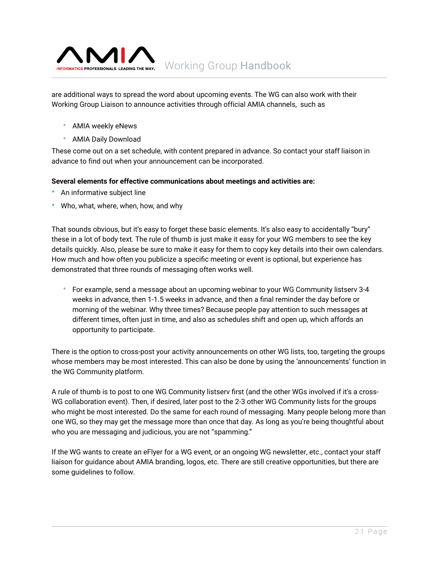

are additional ways to spread the word about upcoming events. The WG can also work with their Working Group Liaison to announce activities through official AMIA channels, such as

- AMIA weekly eNews
- AMIA Daily Download

These come out on a set schedule, with content prepared in advance. So contact your staff liaison in advance to find out when your announcement can be incorporated.

#### **Several elements for effective communications about meetings and activities are:**

- An informative subject line
- Who, what, where, when, how, and why

That sounds obvious, but it's easy to forget these basic elements. It's also easy to accidentally "bury" these in a lot of body text. The rule of thumb is just make it easy for your WG members to see the key details quickly. Also, please be sure to make it easy for them to copy key details into their own calendars. How much and how often you publicize a specific meeting or event is optional, but experience has demonstrated that three rounds of messaging often works well.

• For example, send a message about an upcoming webinar to your WG Community listserv 3-4 weeks in advance, then 1-1.5 weeks in advance, and then a final reminder the day before or morning of the webinar. Why three times? Because people pay attention to such messages at different times, often just in time, and also as schedules shift and open up, which affords an opportunity to participate.

There is the option to cross-post your activity announcements on other WG lists, too, targeting the groups whose members may be most interested. This can also be done by using the 'announcements' function in the WG Community platform.

A rule of thumb is to post to one WG Community listserv first (and the other WGs involved if it's a cross-WG collaboration event). Then, if desired, later post to the 2-3 other WG Community lists for the groups who might be most interested. Do the same for each round of messaging. Many people belong more than one WG, so they may get the message more than once that day. As long as you're being thoughtful about who you are messaging and judicious, you are not "spamming."

If the WG wants to create an eFlyer for a WG event, or an ongoing WG newsletter, etc., contact your staff liaison for guidance about AMIA branding, logos, etc. There are still creative opportunities, but there are some guidelines to follow.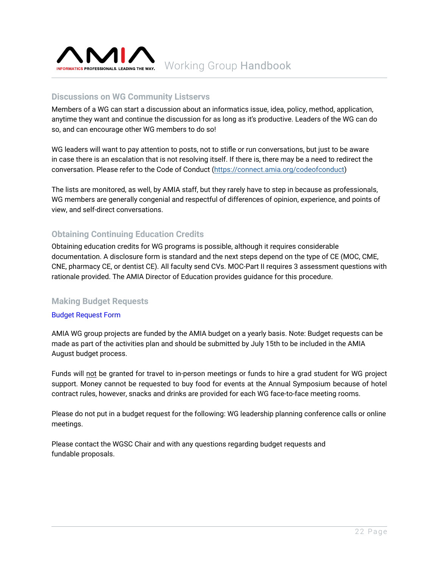<span id="page-21-0"></span>

### **Discussions on WG Community Listservs**

Members of a WG can start a discussion about an informatics issue, idea, policy, method, application, anytime they want and continue the discussion for as long as it's productive. Leaders of the WG can do so, and can encourage other WG members to do so!

WG leaders will want to pay attention to posts, not to stifle or run conversations, but just to be aware in case there is an escalation that is not resolving itself. If there is, there may be a need to redirect the conversation. Please refer to the Code of Conduct (<https://connect.amia.org/codeofconduct>)

The lists are monitored, as well, by AMIA staff, but they rarely have to step in because as professionals, WG members are generally congenial and respectful of differences of opinion, experience, and points of view, and self-direct conversations.

### **Obtaining Continuing Education Credits**

Obtaining education credits for WG programs is possible, although it requires considerable documentation. A disclosure form is standard and the next steps depend on the type of CE (MOC, CME, CNE, pharmacy CE, or dentist CE). All faculty send CVs. MOC-Part II requires 3 assessment questions with rationale provided. The AMIA Director of Education provides guidance for this procedure.

#### **Making Budget Requests**

#### [Budget Request Form](https://brand.amia.org/m/d3d1e131e420d97/original/working-group-budget-request.pdf)

AMIA WG group projects are funded by the AMIA budget on a yearly basis. Note: Budget requests can be made as part of the activities plan and should be submitted by July 15th to be included in the AMIA August budget process.

Funds will not be granted for travel to in-person meetings or funds to hire a grad student for WG project support. Money cannot be requested to buy food for events at the Annual Symposium because of hotel contract rules, however, snacks and drinks are provided for each WG face-to-face meeting rooms.

Please do not put in a budget request for the following: WG leadership planning conference calls or online meetings.

Please contact the WGSC Chair and with any questions regarding budget requests and fundable proposals.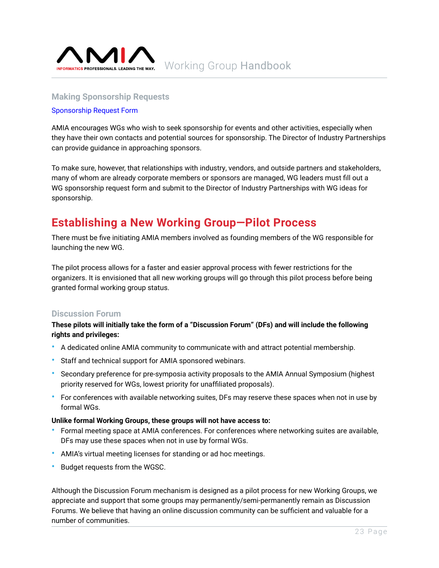<span id="page-22-0"></span>

#### **Making Sponsorship Requests**

#### [Sponsorship](https://brand.amia.org/m/7e9170d0a6c9de9f/original/working-group-sponsorship-request.pdf) Request Form

AMIA encourages WGs who wish to seek sponsorship for events and other activities, especially when they have their own contacts and potential sources for sponsorship. The Director of Industry Partnerships can provide guidance in approaching sponsors.

To make sure, however, that relationships with industry, vendors, and outside partners and stakeholders, many of whom are already corporate members or sponsors are managed, WG leaders must fill out a WG sponsorship request form and submit to the Director of Industry Partnerships with WG ideas for sponsorship.

# **Establishing a New Working Group—Pilot Process**

There must be five initiating AMIA members involved as founding members of the WG responsible for launching the new WG.

The pilot process allows for a faster and easier approval process with fewer restrictions for the organizers. It is envisioned that all new working groups will go through this pilot process before being granted formal working group status.

#### **Discussion Forum**

#### **These pilots will initially take the form of a "Discussion Forum" (DFs) and will include the following rights and privileges:**

- A dedicated online AMIA community to communicate with and attract potential membership.
- Staff and technical support for AMIA sponsored webinars.
- Secondary preference for pre-symposia activity proposals to the AMIA Annual Symposium (highest priority reserved for WGs, lowest priority for unaffiliated proposals).
- For conferences with available networking suites, DFs may reserve these spaces when not in use by formal WGs.

#### **Unlike formal Working Groups, these groups will not have access to:**

- Formal meeting space at AMIA conferences. For conferences where networking suites are available, DFs may use these spaces when not in use by formal WGs.
- AMIA's virtual meeting licenses for standing or ad hoc meetings.
- Budget requests from the WGSC.

Although the Discussion Forum mechanism is designed as a pilot process for new Working Groups, we appreciate and support that some groups may permanently/semi-permanently remain as Discussion Forums. We believe that having an online discussion community can be sufficient and valuable for a number of communities.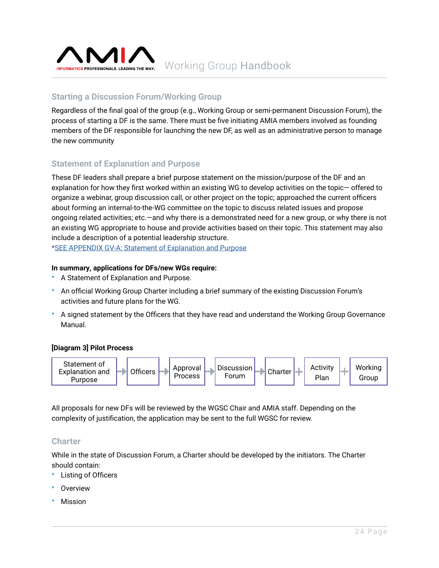<span id="page-23-0"></span>

### **Starting a Discussion Forum/Working Group**

Regardless of the final goal of the group (e.g., Working Group or semi-permanent Discussion Forum), the process of starting a DF is the same. There must be five initiating AMIA members involved as founding members of the DF responsible for launching the new DF, as well as an administrative person to manage the new community

### **Statement of Explanation and Purpose**

These DF leaders shall prepare a brief purpose statement on the mission/purpose of the DF and an explanation for how they first worked within an existing WG to develop activities on the topic— offered to organize a webinar, group discussion call, or other project on the topic; approached the current officers about forming an internal-to-the-WG committee on the topic to discuss related issues and propose ongoing related activities; etc.—and why there is a demonstrated need for a new group, or why there is not an existing WG appropriate to house and provide activities based on their topic. This statement may also include a description of a potential leadership structure.

\*[SEE APPENDIX GV-A: Statement of Explanation and Purpose](https://brand.amia.org/m/515b4887577e40dc/original/2021AMIA-Appendix-GV-A.pdf)

#### **In summary, applications for DFs/new WGs require:**

- A Statement of Explanation and Purpose.
- An official Working Group Charter including a brief summary of the existing Discussion Forum's activities and future plans for the WG.
- A signed statement by the Officers that they have read and understand the Working Group Governance Manual.

#### **[Diagram 3] Pilot Process**



All proposals for new DFs will be reviewed by the WGSC Chair and AMIA staff. Depending on the complexity of justification, the application may be sent to the full WGSC for review.

#### **Charter**

While in the state of Discussion Forum, a Charter should be developed by the initiators. The Charter should contain:

- Listing of Officers
- **Overview**
- **Mission**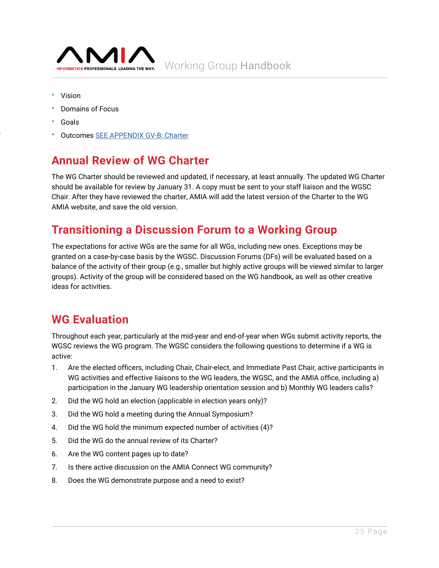<span id="page-24-0"></span>

- Vision
- Domains of Focus
- Goals

Discussion Forum

• Outcomes [SEE APPENDIX GV-B: Charter](https://brand.amia.org/m/388287eb7356a545/original/2021AMIA-Appendix-GV-B.pdf)

# **Annual Review of WG Charter**

The WG Charter should be reviewed and updated, if necessary, at least annually. The updated WG Charter should be available for review by January 31. A copy must be sent to your staff liaison and the WGSC Chair. After they have reviewed the charter, AMIA will add the latest version of the Charter to the WG AMIA website, and save the old version.

# **Transitioning a Discussion Forum to a Working Group**

The expectations for active WGs are the same for all WGs, including new ones. Exceptions may be granted on a case-by-case basis by the WGSC. Discussion Forums (DFs) will be evaluated based on a balance of the activity of their group (e.g., smaller but highly active groups will be viewed similar to larger groups). Activity of the group will be considered based on the WG handbook, as well as other creative ideas for activities.

# **WG Evaluation**

Throughout each year, particularly at the mid-year and end-of-year when WGs submit activity reports, the WGSC reviews the WG program. The WGSC considers the following questions to determine if a WG is active:

- 1. Are the elected officers, including Chair, Chair-elect, and Immediate Past Chair, active participants in WG activities and effective liaisons to the WG leaders, the WGSC, and the AMIA office, including a) participation in the January WG leadership orientation session and b) Monthly WG leaders calls?
- 2. Did the WG hold an election (applicable in election years only)?
- 3. Did the WG hold a meeting during the Annual Symposium?
- 4. Did the WG hold the minimum expected number of activities (4)?
- 5. Did the WG do the annual review of its Charter?
- 6. Are the WG content pages up to date?
- 7. Is there active discussion on the AMIA Connect WG community?
- 8. Does the WG demonstrate purpose and a need to exist?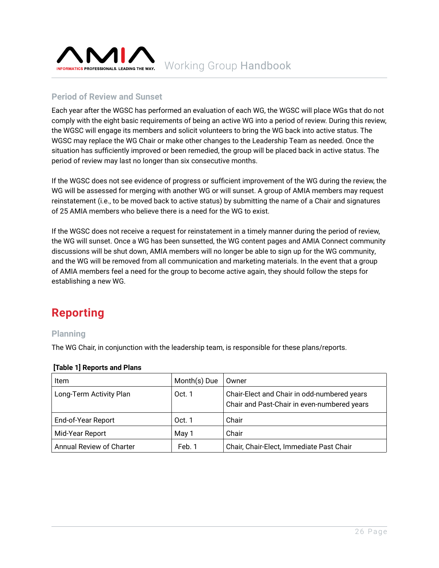<span id="page-25-0"></span>

## **Period of Review and Sunset**

Each year after the WGSC has performed an evaluation of each WG, the WGSC will place WGs that do not comply with the eight basic requirements of being an active WG into a period of review. During this review, the WGSC will engage its members and solicit volunteers to bring the WG back into active status. The WGSC may replace the WG Chair or make other changes to the Leadership Team as needed. Once the situation has sufficiently improved or been remedied, the group will be placed back in active status. The period of review may last no longer than six consecutive months.

If the WGSC does not see evidence of progress or sufficient improvement of the WG during the review, the WG will be assessed for merging with another WG or will sunset. A group of AMIA members may request reinstatement (i.e., to be moved back to active status) by submitting the name of a Chair and signatures of 25 AMIA members who believe there is a need for the WG to exist.

If the WGSC does not receive a request for reinstatement in a timely manner during the period of review, the WG will sunset. Once a WG has been sunsetted, the WG content pages and AMIA Connect community discussions will be shut down, AMIA members will no longer be able to sign up for the WG community, and the WG will be removed from all communication and marketing materials. In the event that a group of AMIA members feel a need for the group to become active again, they should follow the steps for establishing a new WG.

# **Reporting**

### **Planning**

The WG Chair, in conjunction with the leadership team, is responsible for these plans/reports.

| ltem                     | Month(s) Due | Owner                                                                                      |
|--------------------------|--------------|--------------------------------------------------------------------------------------------|
| Long-Term Activity Plan  | Oct. 1       | Chair-Elect and Chair in odd-numbered years<br>Chair and Past-Chair in even-numbered years |
| End-of-Year Report       | Oct. 1       | Chair                                                                                      |
| Mid-Year Report          | May 1        | Chair                                                                                      |
| Annual Review of Charter | Feb. 1       | Chair, Chair-Elect, Immediate Past Chair                                                   |

#### **[Table 1] Reports and Plans**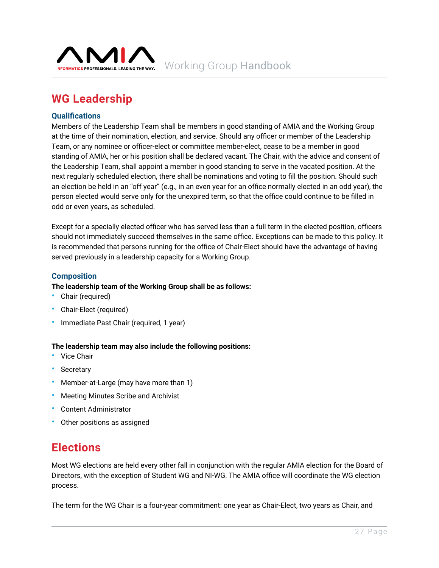<span id="page-26-0"></span>

# **WG Leadership**

#### **Qualifications**

Members of the Leadership Team shall be members in good standing of AMIA and the Working Group at the time of their nomination, election, and service. Should any officer or member of the Leadership Team, or any nominee or officer-elect or committee member-elect, cease to be a member in good standing of AMIA, her or his position shall be declared vacant. The Chair, with the advice and consent of the Leadership Team, shall appoint a member in good standing to serve in the vacated position. At the next regularly scheduled election, there shall be nominations and voting to fill the position. Should such an election be held in an "off year" (e.g., in an even year for an office normally elected in an odd year), the person elected would serve only for the unexpired term, so that the office could continue to be filled in odd or even years, as scheduled.

Except for a specially elected officer who has served less than a full term in the elected position, officers should not immediately succeed themselves in the same office. Exceptions can be made to this policy. It is recommended that persons running for the office of Chair-Elect should have the advantage of having served previously in a leadership capacity for a Working Group.

#### **Composition**

#### **The leadership team of the Working Group shall be as follows:**

- Chair (required)
- Chair-Elect (required)
- Immediate Past Chair (required, 1 year)

#### **The leadership team may also include the following positions:**

- Vice Chair
- Secretary
- Member-at-Large (may have more than 1)
- Meeting Minutes Scribe and Archivist
- Content Administrator
- Other positions as assigned

# **Elections**

Most WG elections are held every other fall in conjunction with the regular AMIA election for the Board of Directors, with the exception of Student WG and NI-WG. The AMIA office will coordinate the WG election process.

The term for the WG Chair is a four-year commitment: one year as Chair-Elect, two years as Chair, and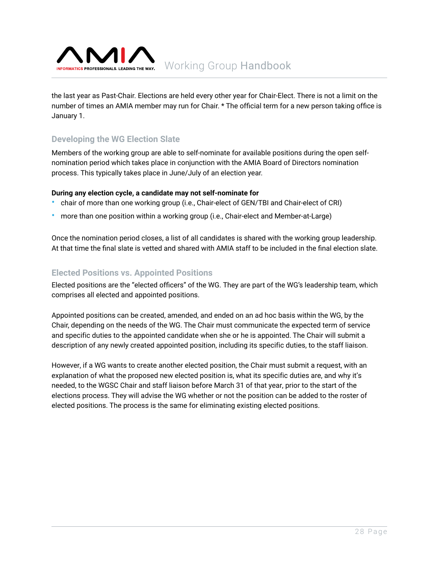<span id="page-27-0"></span>

the last year as Past-Chair. Elections are held every other year for Chair-Elect. There is not a limit on the number of times an AMIA member may run for Chair. \* The official term for a new person taking office is January 1.

## **Developing the WG Election Slate**

Members of the working group are able to self-nominate for available positions during the open selfnomination period which takes place in conjunction with the AMIA Board of Directors nomination process. This typically takes place in June/July of an election year.

#### **During any election cycle, a candidate may not self-nominate for**

- chair of more than one working group (i.e., Chair-elect of GEN/TBI and Chair-elect of CRI)
- more than one position within a working group (i.e., Chair-elect and Member-at-Large)

Once the nomination period closes, a list of all candidates is shared with the working group leadership. At that time the final slate is vetted and shared with AMIA staff to be included in the final election slate.

### **Elected Positions vs. Appointed Positions**

Elected positions are the "elected officers" of the WG. They are part of the WG's leadership team, which comprises all elected and appointed positions.

Appointed positions can be created, amended, and ended on an ad hoc basis within the WG, by the Chair, depending on the needs of the WG. The Chair must communicate the expected term of service and specific duties to the appointed candidate when she or he is appointed. The Chair will submit a description of any newly created appointed position, including its specific duties, to the staff liaison.

However, if a WG wants to create another elected position, the Chair must submit a request, with an explanation of what the proposed new elected position is, what its specific duties are, and why it's needed, to the WGSC Chair and staff liaison before March 31 of that year, prior to the start of the elections process. They will advise the WG whether or not the position can be added to the roster of elected positions. The process is the same for eliminating existing elected positions.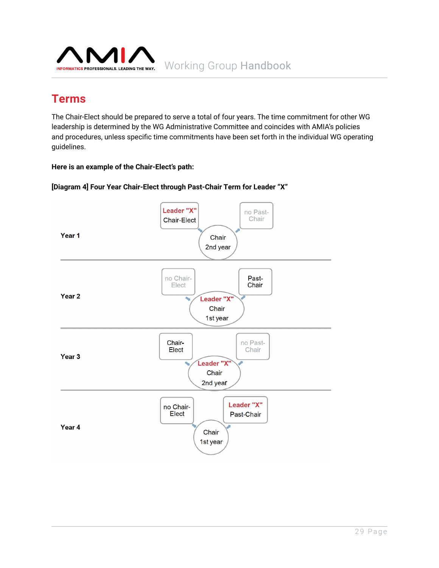<span id="page-28-0"></span>

# **Terms**

The Chair-Elect should be prepared to serve a total of four years. The time commitment for other WG leadership is determined by the WG Administrative Committee and coincides with AMIA's policies and procedures, unless specific time commitments have been set forth in the individual WG operating guidelines.

#### **Here is an example of the Chair-Elect's path:**



**[Diagram 4] Four Year Chair-Elect through Past-Chair Term for Leader "X"**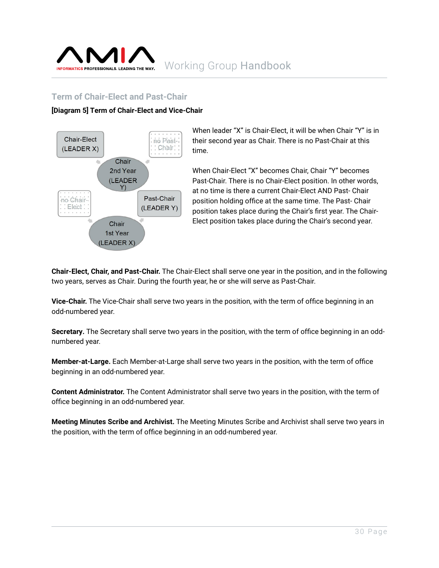<span id="page-29-0"></span>

### **Term of Chair-Elect and Past-Chair**

#### **[Diagram 5] Term of Chair-Elect and Vice-Chair**



When leader "X" is Chair-Elect, it will be when Chair "Y" is in their second year as Chair. There is no Past-Chair at this time.

When Chair-Elect "X" becomes Chair, Chair "Y" becomes Past-Chair. There is no Chair-Elect position. In other words, at no time is there a current Chair-Elect AND Past- Chair position holding office at the same time. The Past- Chair position takes place during the Chair's first year. The Chair-Elect position takes place during the Chair's second year.

**Chair-Elect, Chair, and Past-Chair.** The Chair-Elect shall serve one year in the position, and in the following two years, serves as Chair. During the fourth year, he or she will serve as Past-Chair.

**Vice-Chair.** The Vice-Chair shall serve two years in the position, with the term of office beginning in an odd-numbered year.

**Secretary.** The Secretary shall serve two years in the position, with the term of office beginning in an oddnumbered year.

**Member-at-Large.** Each Member-at-Large shall serve two years in the position, with the term of office beginning in an odd-numbered year.

**Content Administrator.** The Content Administrator shall serve two years in the position, with the term of office beginning in an odd-numbered year.

**Meeting Minutes Scribe and Archivist.** The Meeting Minutes Scribe and Archivist shall serve two years in the position, with the term of office beginning in an odd-numbered year.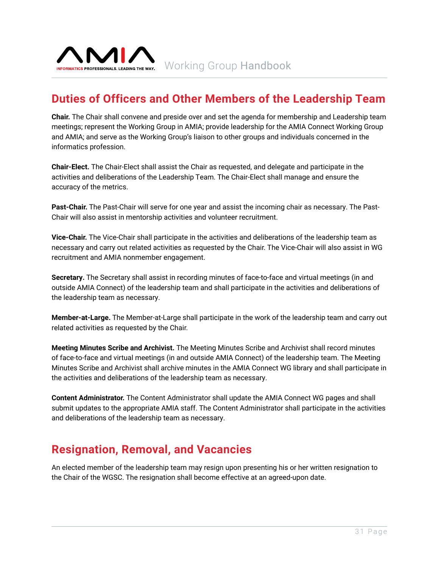<span id="page-30-0"></span>

# **Duties of Officers and Other Members of the Leadership Team**

**Chair.** The Chair shall convene and preside over and set the agenda for membership and Leadership team meetings; represent the Working Group in AMIA; provide leadership for the AMIA Connect Working Group and AMIA; and serve as the Working Group's liaison to other groups and individuals concerned in the informatics profession.

**Chair-Elect.** The Chair-Elect shall assist the Chair as requested, and delegate and participate in the activities and deliberations of the Leadership Team. The Chair-Elect shall manage and ensure the accuracy of the metrics.

**Past-Chair.** The Past-Chair will serve for one year and assist the incoming chair as necessary. The Past-Chair will also assist in mentorship activities and volunteer recruitment.

**Vice-Chair.** The Vice-Chair shall participate in the activities and deliberations of the leadership team as necessary and carry out related activities as requested by the Chair. The Vice-Chair will also assist in WG recruitment and AMIA nonmember engagement.

**Secretary.** The Secretary shall assist in recording minutes of face-to-face and virtual meetings (in and outside AMIA Connect) of the leadership team and shall participate in the activities and deliberations of the leadership team as necessary.

**Member-at-Large.** The Member-at-Large shall participate in the work of the leadership team and carry out related activities as requested by the Chair.

**Meeting Minutes Scribe and Archivist.** The Meeting Minutes Scribe and Archivist shall record minutes of face-to-face and virtual meetings (in and outside AMIA Connect) of the leadership team. The Meeting Minutes Scribe and Archivist shall archive minutes in the AMIA Connect WG library and shall participate in the activities and deliberations of the leadership team as necessary.

**Content Administrator.** The Content Administrator shall update the AMIA Connect WG pages and shall submit updates to the appropriate AMIA staff. The Content Administrator shall participate in the activities and deliberations of the leadership team as necessary.

# **Resignation, Removal, and Vacancies**

An elected member of the leadership team may resign upon presenting his or her written resignation to the Chair of the WGSC. The resignation shall become effective at an agreed-upon date.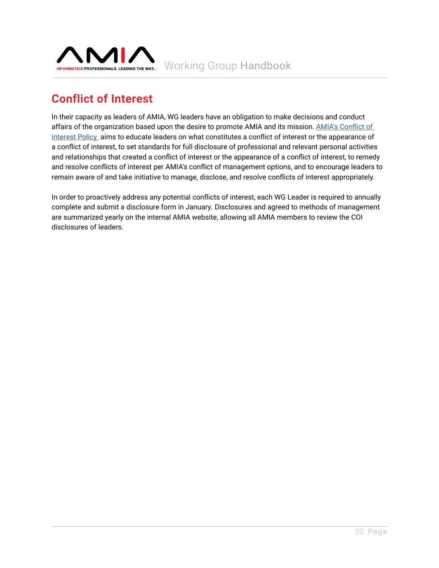<span id="page-31-0"></span>

# **Conflict of Interest**

In their capacity as leaders of AMIA, WG leaders have an obligation to make decisions and conduct affairs of the organization based upon the desire to promote AMIA and its mission. [AMIA's Conflict of](https://amia.org/about-amia/leadership-and-governance/ethics/conflict-interest-policy)  [Interest Policy](https://amia.org/about-amia/leadership-and-governance/ethics/conflict-interest-policy) aims to educate leaders on what constitutes a conflict of interest or the appearance of a conflict of interest, to set standards for full disclosure of professional and relevant personal activities and relationships that created a conflict of interest or the appearance of a conflict of interest, to remedy and resolve conflicts of interest per AMIA's conflict of management options, and to encourage leaders to remain aware of and take initiative to manage, disclose, and resolve conflicts of interest appropriately.

In order to proactively address any potential conflicts of interest, each WG Leader is required to annually complete and submit a disclosure form in January. Disclosures and agreed to methods of management are summarized yearly on the internal AMIA website, allowing all AMIA members to review the COI disclosures of leaders.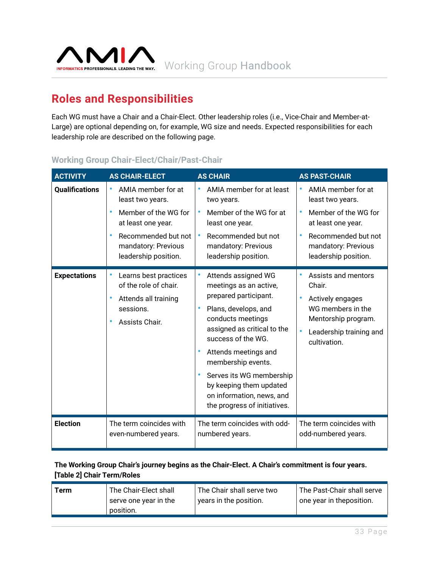<span id="page-32-0"></span>

# **Roles and Responsibilities**

Each WG must have a Chair and a Chair-Elect. Other leadership roles (i.e., Vice-Chair and Member-at-Large) are optional depending on, for example, WG size and needs. Expected responsibilities for each leadership role are described on the following page.

### **Working Group Chair-Elect/Chair/Past-Chair**

| <b>ACTIVITY</b>       | <b>AS CHAIR-ELECT</b>                                                                                 | <b>AS CHAIR</b>                                                                                                                                                                                                                                                                                                                                         | <b>AS PAST-CHAIR</b>                                                                                                                                               |
|-----------------------|-------------------------------------------------------------------------------------------------------|---------------------------------------------------------------------------------------------------------------------------------------------------------------------------------------------------------------------------------------------------------------------------------------------------------------------------------------------------------|--------------------------------------------------------------------------------------------------------------------------------------------------------------------|
| <b>Qualifications</b> | AMIA member for at                                                                                    | AMIA member for at least                                                                                                                                                                                                                                                                                                                                | AMIA member for at                                                                                                                                                 |
|                       | $\bullet$                                                                                             | two years.                                                                                                                                                                                                                                                                                                                                              | ٠                                                                                                                                                                  |
|                       | least two years.                                                                                      | $\bullet$                                                                                                                                                                                                                                                                                                                                               | least two years.                                                                                                                                                   |
|                       | Member of the WG for                                                                                  | Member of the WG for at                                                                                                                                                                                                                                                                                                                                 | Member of the WG for                                                                                                                                               |
|                       | at least one year.                                                                                    | least one year.                                                                                                                                                                                                                                                                                                                                         | at least one year.                                                                                                                                                 |
|                       | Recommended but not                                                                                   | Recommended but not                                                                                                                                                                                                                                                                                                                                     | Recommended but not                                                                                                                                                |
|                       | mandatory: Previous                                                                                   | mandatory: Previous                                                                                                                                                                                                                                                                                                                                     | mandatory: Previous                                                                                                                                                |
|                       | leadership position.                                                                                  | leadership position.                                                                                                                                                                                                                                                                                                                                    | leadership position.                                                                                                                                               |
| <b>Expectations</b>   | Learns best practices<br>of the role of chair.<br>Attends all training<br>sessions.<br>Assists Chair. | Attends assigned WG<br>meetings as an active,<br>prepared participant.<br>Plans, develops, and<br>$\bullet$<br>conducts meetings<br>assigned as critical to the<br>success of the WG.<br>Attends meetings and<br>membership events.<br>Serves its WG membership<br>by keeping them updated<br>on information, news, and<br>the progress of initiatives. | Assists and mentors<br>$\bullet$<br>Chair.<br>Actively engages<br>WG members in the<br>Mentorship program.<br>$\bullet$<br>Leadership training and<br>cultivation. |
| <b>Election</b>       | The term coincides with                                                                               | The term coincides with odd-                                                                                                                                                                                                                                                                                                                            | The term coincides with                                                                                                                                            |
|                       | even-numbered years.                                                                                  | numbered years.                                                                                                                                                                                                                                                                                                                                         | odd-numbered years.                                                                                                                                                |

#### **The Working Group Chair's journey begins as the Chair-Elect. A Chair's commitment is four years. [Table 2] Chair Term/Roles**

| l one year in theposition.<br>years in the position.<br>serve one year in the<br>position. | Term | The Chair-Elect shall | The Chair shall serve two | The Past-Chair shall serve |
|--------------------------------------------------------------------------------------------|------|-----------------------|---------------------------|----------------------------|
|--------------------------------------------------------------------------------------------|------|-----------------------|---------------------------|----------------------------|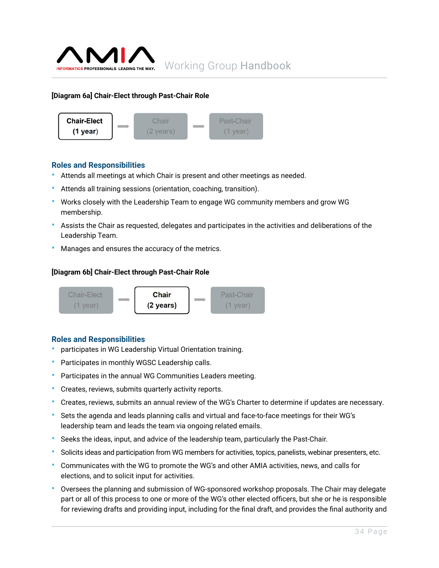

#### **[Diagram 6a] Chair-Elect through Past-Chair Role**



#### **Roles and Responsibilities**

- Attends all meetings at which Chair is present and other meetings as needed.
- Attends all training sessions (orientation, coaching, transition).
- Works closely with the Leadership Team to engage WG community members and grow WG membership.
- Assists the Chair as requested, delegates and participates in the activities and deliberations of the Leadership Team.
- Manages and ensures the accuracy of the metrics.

#### **[Diagram 6b] Chair-Elect through Past-Chair Role**



#### **Roles and Responsibilities**

- participates in WG Leadership Virtual Orientation training.
- Participates in monthly WGSC Leadership calls.
- Participates in the annual WG Communities Leaders meeting.
- Creates, reviews, submits quarterly activity reports.
- Creates, reviews, submits an annual review of the WG's Charter to determine if updates are necessary.
- Sets the agenda and leads planning calls and virtual and face-to-face meetings for their WG's leadership team and leads the team via ongoing related emails.
- Seeks the ideas, input, and advice of the leadership team, particularly the Past-Chair.
- Solicits ideas and participation from WG members for activities, topics, panelists, webinar presenters, etc.
- Communicates with the WG to promote the WG's and other AMIA activities, news, and calls for elections, and to solicit input for activities.
- Oversees the planning and submission of WG-sponsored workshop proposals. The Chair may delegate part or all of this process to one or more of the WG's other elected officers, but she or he is responsible for reviewing drafts and providing input, including for the final draft, and provides the final authority and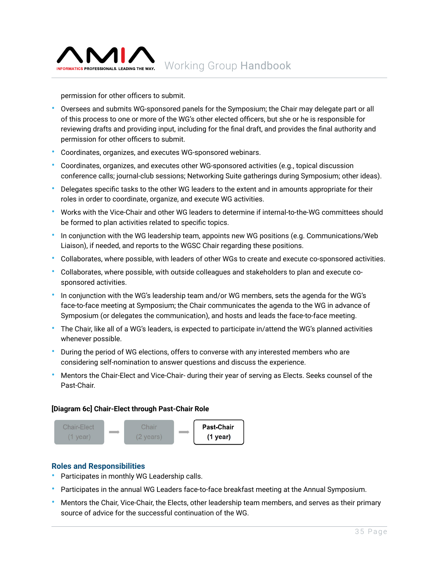

permission for other officers to submit.

- Oversees and submits WG-sponsored panels for the Symposium; the Chair may delegate part or all of this process to one or more of the WG's other elected officers, but she or he is responsible for reviewing drafts and providing input, including for the final draft, and provides the final authority and permission for other officers to submit.
- Coordinates, organizes, and executes WG-sponsored webinars.
- Coordinates, organizes, and executes other WG-sponsored activities (e.g., topical discussion conference calls; journal-club sessions; Networking Suite gatherings during Symposium; other ideas).
- Delegates specific tasks to the other WG leaders to the extent and in amounts appropriate for their roles in order to coordinate, organize, and execute WG activities.
- Works with the Vice-Chair and other WG leaders to determine if internal-to-the-WG committees should be formed to plan activities related to specific topics.
- In conjunction with the WG leadership team, appoints new WG positions (e.g. Communications/Web Liaison), if needed, and reports to the WGSC Chair regarding these positions.
- Collaborates, where possible, with leaders of other WGs to create and execute co-sponsored activities.
- Collaborates, where possible, with outside colleagues and stakeholders to plan and execute cosponsored activities.
- In conjunction with the WG's leadership team and/or WG members, sets the agenda for the WG's face-to-face meeting at Symposium; the Chair communicates the agenda to the WG in advance of Symposium (or delegates the communication), and hosts and leads the face-to-face meeting.
- The Chair, like all of a WG's leaders, is expected to participate in/attend the WG's planned activities whenever possible.
- During the period of WG elections, offers to converse with any interested members who are considering self-nomination to answer questions and discuss the experience.
- Mentors the Chair-Elect and Vice-Chair- during their year of serving as Elects. Seeks counsel of the Past-Chair.

#### **[Diagram 6c] Chair-Elect through Past-Chair Role**



#### **Roles and Responsibilities**

- Participates in monthly WG Leadership calls.
- Participates in the annual WG Leaders face-to-face breakfast meeting at the Annual Symposium.
- Mentors the Chair, Vice-Chair, the Elects, other leadership team members, and serves as their primary source of advice for the successful continuation of the WG.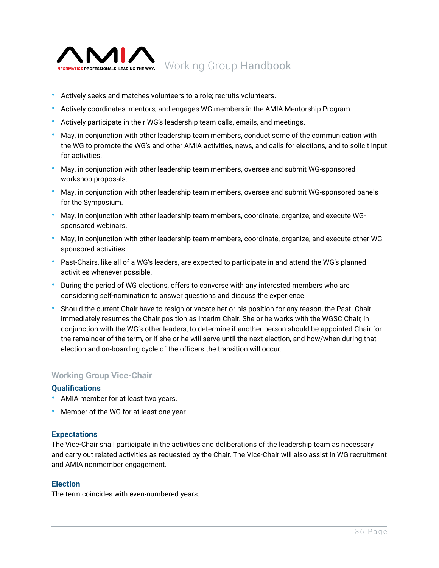<span id="page-35-0"></span>

- Actively seeks and matches volunteers to a role; recruits volunteers.
- Actively coordinates, mentors, and engages WG members in the AMIA Mentorship Program.
- Actively participate in their WG's leadership team calls, emails, and meetings.
- May, in conjunction with other leadership team members, conduct some of the communication with the WG to promote the WG's and other AMIA activities, news, and calls for elections, and to solicit input for activities.
- May, in conjunction with other leadership team members, oversee and submit WG-sponsored workshop proposals.
- May, in conjunction with other leadership team members, oversee and submit WG-sponsored panels for the Symposium.
- May, in conjunction with other leadership team members, coordinate, organize, and execute WGsponsored webinars.
- May, in conjunction with other leadership team members, coordinate, organize, and execute other WGsponsored activities.
- Past-Chairs, like all of a WG's leaders, are expected to participate in and attend the WG's planned activities whenever possible.
- During the period of WG elections, offers to converse with any interested members who are considering self-nomination to answer questions and discuss the experience.
- Should the current Chair have to resign or vacate her or his position for any reason, the Past- Chair immediately resumes the Chair position as Interim Chair. She or he works with the WGSC Chair, in conjunction with the WG's other leaders, to determine if another person should be appointed Chair for the remainder of the term, or if she or he will serve until the next election, and how/when during that election and on-boarding cycle of the officers the transition will occur.

#### **Working Group Vice-Chair**

#### **Qualifications**

- AMIA member for at least two years.
- Member of the WG for at least one year.

#### **Expectations**

The Vice-Chair shall participate in the activities and deliberations of the leadership team as necessary and carry out related activities as requested by the Chair. The Vice-Chair will also assist in WG recruitment and AMIA nonmember engagement.

#### **Election**

The term coincides with even-numbered years.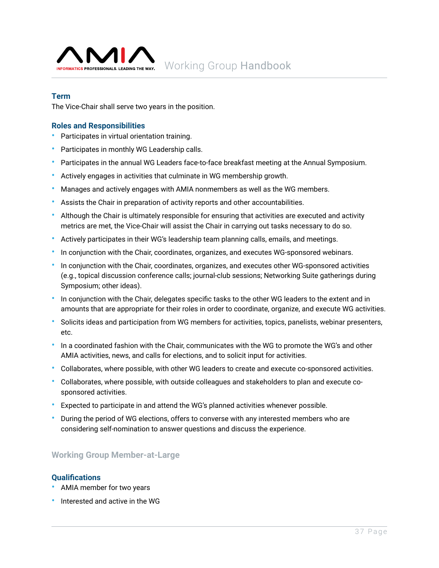<span id="page-36-0"></span>

#### **Term**

The Vice-Chair shall serve two years in the position.

#### **Roles and Responsibilities**

- Participates in virtual orientation training.
- Participates in monthly WG Leadership calls.
- Participates in the annual WG Leaders face-to-face breakfast meeting at the Annual Symposium.
- Actively engages in activities that culminate in WG membership growth.
- Manages and actively engages with AMIA nonmembers as well as the WG members.
- Assists the Chair in preparation of activity reports and other accountabilities.
- Although the Chair is ultimately responsible for ensuring that activities are executed and activity metrics are met, the Vice-Chair will assist the Chair in carrying out tasks necessary to do so.
- Actively participates in their WG's leadership team planning calls, emails, and meetings.
- In conjunction with the Chair, coordinates, organizes, and executes WG-sponsored webinars.
- In conjunction with the Chair, coordinates, organizes, and executes other WG-sponsored activities (e.g., topical discussion conference calls; journal-club sessions; Networking Suite gatherings during Symposium; other ideas).
- In conjunction with the Chair, delegates specific tasks to the other WG leaders to the extent and in amounts that are appropriate for their roles in order to coordinate, organize, and execute WG activities.
- Solicits ideas and participation from WG members for activities, topics, panelists, webinar presenters, etc.
- In a coordinated fashion with the Chair, communicates with the WG to promote the WG's and other AMIA activities, news, and calls for elections, and to solicit input for activities.
- Collaborates, where possible, with other WG leaders to create and execute co-sponsored activities.
- Collaborates, where possible, with outside colleagues and stakeholders to plan and execute cosponsored activities.
- Expected to participate in and attend the WG's planned activities whenever possible.
- During the period of WG elections, offers to converse with any interested members who are considering self-nomination to answer questions and discuss the experience.

#### **Working Group Member-at-Large**

#### **Qualifications**

- AMIA member for two years
- Interested and active in the WG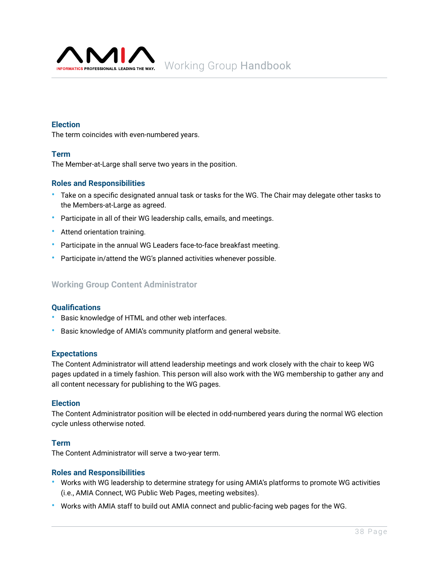<span id="page-37-0"></span>

#### **Election**

The term coincides with even-numbered years.

#### **Term**

The Member-at-Large shall serve two years in the position.

#### **Roles and Responsibilities**

- Take on a specific designated annual task or tasks for the WG. The Chair may delegate other tasks to the Members-at-Large as agreed.
- Participate in all of their WG leadership calls, emails, and meetings.
- Attend orientation training.
- Participate in the annual WG Leaders face-to-face breakfast meeting.
- Participate in/attend the WG's planned activities whenever possible.

#### **Working Group Content Administrator**

#### **Qualifications**

- Basic knowledge of HTML and other web interfaces.
- Basic knowledge of AMIA's community platform and general website.

#### **Expectations**

The Content Administrator will attend leadership meetings and work closely with the chair to keep WG pages updated in a timely fashion. This person will also work with the WG membership to gather any and all content necessary for publishing to the WG pages.

#### **Election**

The Content Administrator position will be elected in odd-numbered years during the normal WG election cycle unless otherwise noted.

#### **Term**

The Content Administrator will serve a two-year term.

#### **Roles and Responsibilities**

- Works with WG leadership to determine strategy for using AMIA's platforms to promote WG activities (i.e., AMIA Connect, WG Public Web Pages, meeting websites).
- Works with AMIA staff to build out AMIA connect and public-facing web pages for the WG.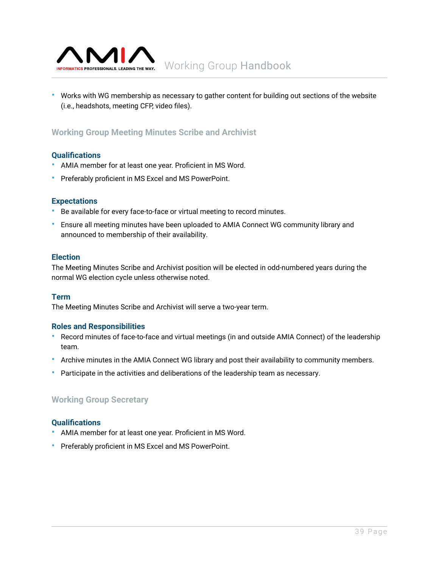<span id="page-38-0"></span>

• Works with WG membership as necessary to gather content for building out sections of the website (i.e., headshots, meeting CFP, video files).

### **Working Group Meeting Minutes Scribe and Archivist**

#### **Qualifications**

- AMIA member for at least one year. Proficient in MS Word.
- Preferably proficient in MS Excel and MS PowerPoint.

#### **Expectations**

- Be available for every face-to-face or virtual meeting to record minutes.
- Ensure all meeting minutes have been uploaded to AMIA Connect WG community library and announced to membership of their availability.

#### **Election**

The Meeting Minutes Scribe and Archivist position will be elected in odd-numbered years during the normal WG election cycle unless otherwise noted.

#### **Term**

The Meeting Minutes Scribe and Archivist will serve a two-year term.

#### **Roles and Responsibilities**

- Record minutes of face-to-face and virtual meetings (in and outside AMIA Connect) of the leadership team.
- Archive minutes in the AMIA Connect WG library and post their availability to community members.
- Participate in the activities and deliberations of the leadership team as necessary.

#### **Working Group Secretary**

#### **Qualifications**

- AMIA member for at least one year. Proficient in MS Word.
- Preferably proficient in MS Excel and MS PowerPoint.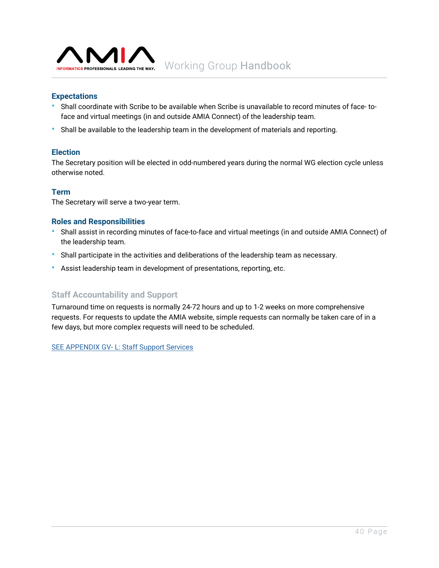<span id="page-39-0"></span>

#### **Expectations**

- Shall coordinate with Scribe to be available when Scribe is unavailable to record minutes of face- toface and virtual meetings (in and outside AMIA Connect) of the leadership team.
- Shall be available to the leadership team in the development of materials and reporting.

#### **Election**

The Secretary position will be elected in odd-numbered years during the normal WG election cycle unless otherwise noted.

#### **Term**

The Secretary will serve a two-year term.

#### **Roles and Responsibilities**

- Shall assist in recording minutes of face-to-face and virtual meetings (in and outside AMIA Connect) of the leadership team.
- Shall participate in the activities and deliberations of the leadership team as necessary.
- Assist leadership team in development of presentations, reporting, etc.

#### **Staff Accountability and Support**

Turnaround time on requests is normally 24-72 hours and up to 1-2 weeks on more comprehensive requests. For requests to update the AMIA website, simple requests can normally be taken care of in a few days, but more complex requests will need to be scheduled.

[SEE APPENDIX GV- L: Staff Support Services](https://amia.org/about-amia/amia-staff)